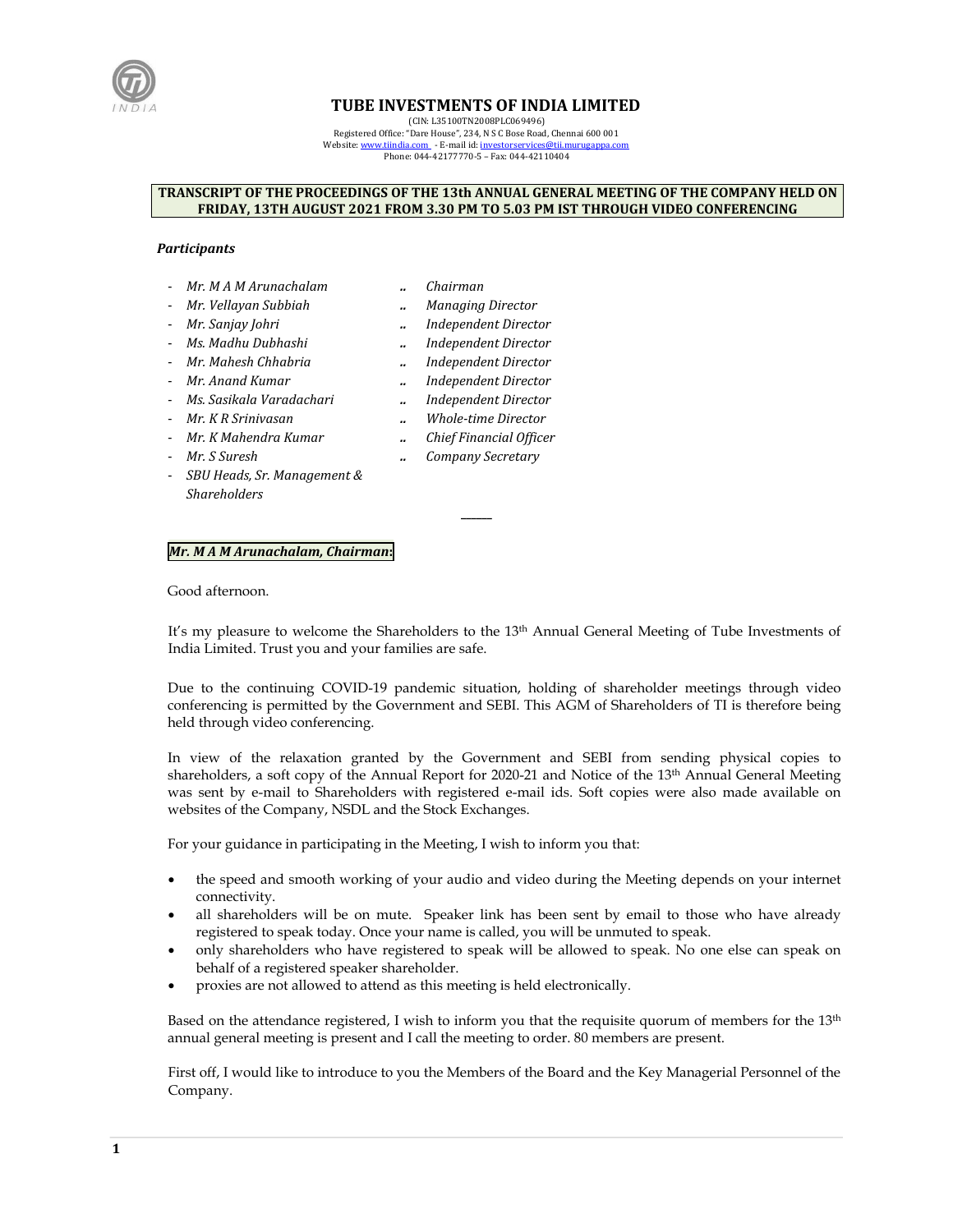

# **TUBE INVESTMENTS OF INDIA LIMITED**

(CIN: L35100TN2008PLC069496)

Registered Office: "Dare House", 234, N S C Bose Road, Chennai 600 001 Website[: www.tiindia.com](http://www.tiindia.com/) - E-mail id: investorservices@tii.murugappa.com Phone: 044-42177770-5 – Fax: 044-42110404

#### **TRANSCRIPT OF THE PROCEEDINGS OF THE 13th ANNUAL GENERAL MEETING OF THE COMPANY HELD ON FRIDAY, 13TH AUGUST 2021 FROM 3.30 PM TO 5.03 PM IST THROUGH VIDEO CONFERENCING**

#### *Participants*

- *Mr. M A M Arunachalam .. Chairman*
- 
- 
- 
- 
- *Mr. Anand Kumar .. Independent Director*
- *Ms. Sasikala Varadachari .. Independent Director*
- *Mr. K R Srinivasan .. Whole-time Director*
- *Mr. K Mahendra Kumar .. Chief Financial Officer*
- 
- *SBU Heads, Sr. Management & Shareholders*
- 
- *Mr. Vellayan Subbiah .. Managing Director*
	- *Mr. Sanjay Johri .. Independent Director*
- *Ms. Madhu Dubhashi .. Independent Director*
- *Mr. Mahesh Chhabria .. Independent Director*
	-
	-
	-
	-
- *Mr. S Suresh .. Company Secretary*

**\_\_\_\_\_\_** 

# *Mr. M A M Arunachalam, Chairman***:**

Good afternoon.

It's my pleasure to welcome the Shareholders to the 13<sup>th</sup> Annual General Meeting of Tube Investments of India Limited. Trust you and your families are safe.

Due to the continuing COVID-19 pandemic situation, holding of shareholder meetings through video conferencing is permitted by the Government and SEBI. This AGM of Shareholders of TI is therefore being held through video conferencing.

In view of the relaxation granted by the Government and SEBI from sending physical copies to shareholders, a soft copy of the Annual Report for 2020-21 and Notice of the 13<sup>th</sup> Annual General Meeting was sent by e-mail to Shareholders with registered e-mail ids. Soft copies were also made available on websites of the Company, NSDL and the Stock Exchanges.

For your guidance in participating in the Meeting, I wish to inform you that:

- the speed and smooth working of your audio and video during the Meeting depends on your internet connectivity.
- all shareholders will be on mute. Speaker link has been sent by email to those who have already registered to speak today. Once your name is called, you will be unmuted to speak.
- only shareholders who have registered to speak will be allowed to speak. No one else can speak on behalf of a registered speaker shareholder.
- proxies are not allowed to attend as this meeting is held electronically.

Based on the attendance registered, I wish to inform you that the requisite quorum of members for the  $13<sup>th</sup>$ annual general meeting is present and I call the meeting to order. 80 members are present.

First off, I would like to introduce to you the Members of the Board and the Key Managerial Personnel of the Company.

**1**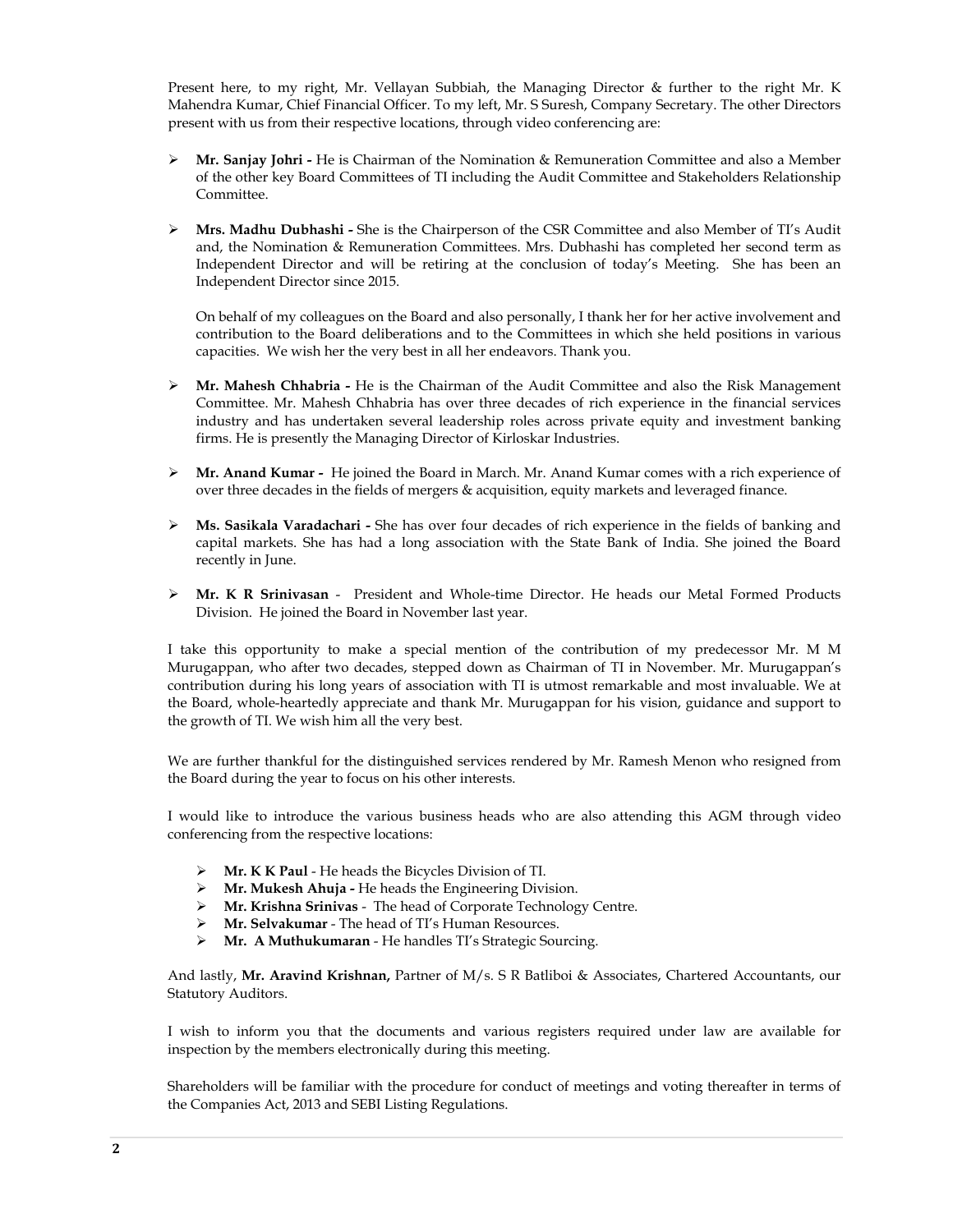Present here, to my right, Mr. Vellayan Subbiah, the Managing Director & further to the right Mr. K Mahendra Kumar, Chief Financial Officer. To my left, Mr. S Suresh, Company Secretary. The other Directors present with us from their respective locations, through video conferencing are:

- **Mr. Sanjay Johri** He is Chairman of the Nomination & Remuneration Committee and also a Member of the other key Board Committees of TI including the Audit Committee and Stakeholders Relationship Committee.
- **Mrs. Madhu Dubhashi** She is the Chairperson of the CSR Committee and also Member of TI's Audit and, the Nomination & Remuneration Committees. Mrs. Dubhashi has completed her second term as Independent Director and will be retiring at the conclusion of today's Meeting. She has been an Independent Director since 2015.

On behalf of my colleagues on the Board and also personally, I thank her for her active involvement and contribution to the Board deliberations and to the Committees in which she held positions in various capacities. We wish her the very best in all her endeavors. Thank you.

- **Mr. Mahesh Chhabria** He is the Chairman of the Audit Committee and also the Risk Management Committee. Mr. Mahesh Chhabria has over three decades of rich experience in the financial services industry and has undertaken several leadership roles across private equity and investment banking firms. He is presently the Managing Director of Kirloskar Industries.
- **Mr. Anand Kumar -** He joined the Board in March. Mr. Anand Kumar comes with a rich experience of over three decades in the fields of mergers & acquisition, equity markets and leveraged finance.
- **Ms. Sasikala Varadachari** She has over four decades of rich experience in the fields of banking and capital markets. She has had a long association with the State Bank of India. She joined the Board recently in June.
- **Mr. K R Srinivasan**  President and Whole-time Director. He heads our Metal Formed Products Division. He joined the Board in November last year.

I take this opportunity to make a special mention of the contribution of my predecessor Mr. M M Murugappan, who after two decades, stepped down as Chairman of TI in November. Mr. Murugappan's contribution during his long years of association with TI is utmost remarkable and most invaluable. We at the Board, whole-heartedly appreciate and thank Mr. Murugappan for his vision, guidance and support to the growth of TI. We wish him all the very best.

We are further thankful for the distinguished services rendered by Mr. Ramesh Menon who resigned from the Board during the year to focus on his other interests.

I would like to introduce the various business heads who are also attending this AGM through video conferencing from the respective locations:

- **Mr. K K Paul**  He heads the Bicycles Division of TI.
- **Mr. Mukesh Ahuja** He heads the Engineering Division.
- **Mr. Krishna Srinivas**  The head of Corporate Technology Centre.
- **Mr. Selvakumar**  The head of TI's Human Resources.
- **Mr. A Muthukumaran**  He handles TI's Strategic Sourcing.

And lastly, **Mr. Aravind Krishnan,** Partner of M/s. S R Batliboi & Associates, Chartered Accountants, our Statutory Auditors.

I wish to inform you that the documents and various registers required under law are available for inspection by the members electronically during this meeting.

Shareholders will be familiar with the procedure for conduct of meetings and voting thereafter in terms of the Companies Act, 2013 and SEBI Listing Regulations.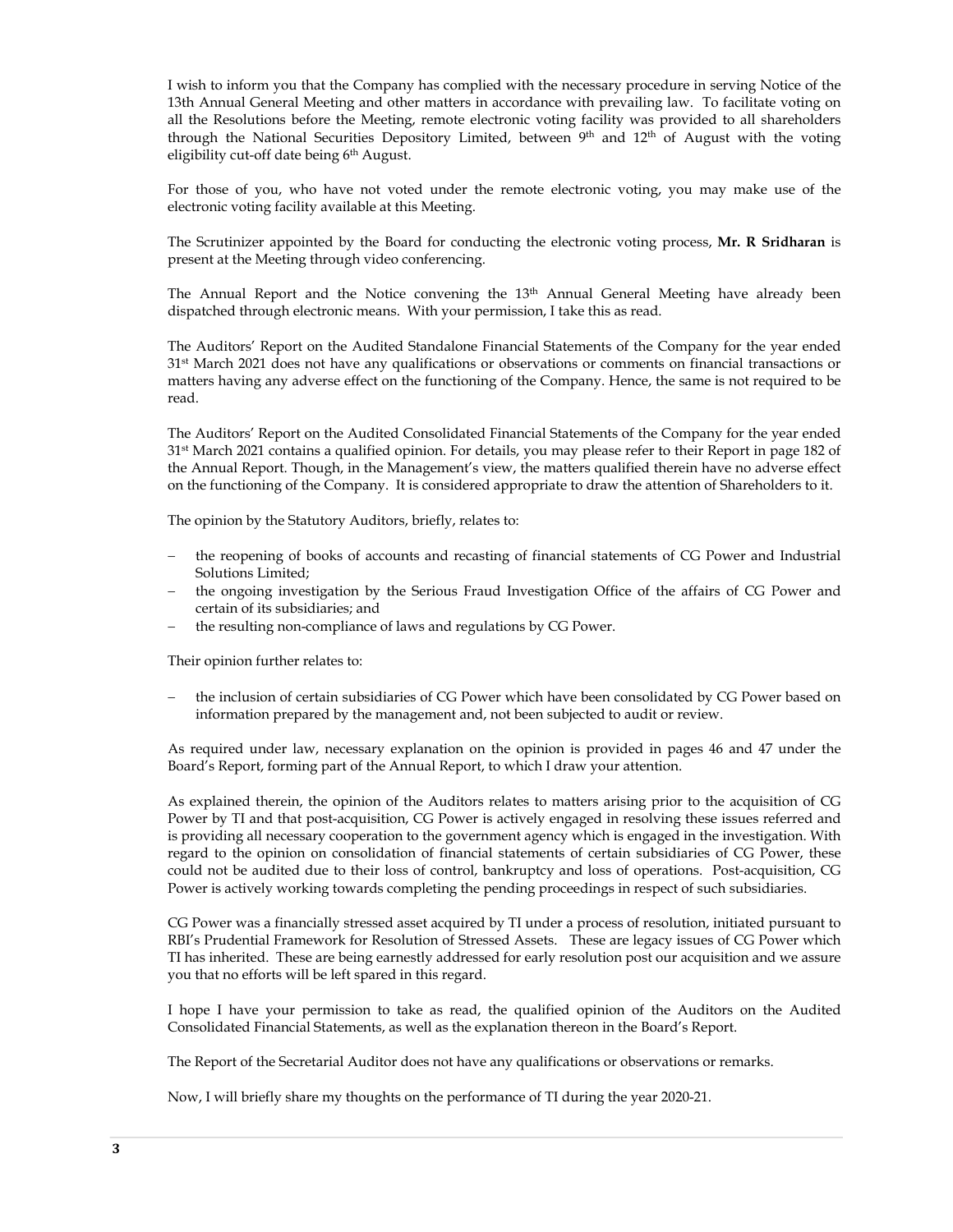I wish to inform you that the Company has complied with the necessary procedure in serving Notice of the 13th Annual General Meeting and other matters in accordance with prevailing law. To facilitate voting on all the Resolutions before the Meeting, remote electronic voting facility was provided to all shareholders through the National Securities Depository Limited, between  $9<sup>th</sup>$  and  $12<sup>th</sup>$  of August with the voting eligibility cut-off date being 6<sup>th</sup> August.

For those of you, who have not voted under the remote electronic voting, you may make use of the electronic voting facility available at this Meeting.

The Scrutinizer appointed by the Board for conducting the electronic voting process, **Mr. R Sridharan** is present at the Meeting through video conferencing.

The Annual Report and the Notice convening the 13<sup>th</sup> Annual General Meeting have already been dispatched through electronic means. With your permission, I take this as read.

The Auditors' Report on the Audited Standalone Financial Statements of the Company for the year ended 31<sup>st</sup> March 2021 does not have any qualifications or observations or comments on financial transactions or matters having any adverse effect on the functioning of the Company. Hence, the same is not required to be read.

The Auditors' Report on the Audited Consolidated Financial Statements of the Company for the year ended 31st March 2021 contains a qualified opinion. For details, you may please refer to their Report in page 182 of the Annual Report. Though, in the Management's view, the matters qualified therein have no adverse effect on the functioning of the Company. It is considered appropriate to draw the attention of Shareholders to it.

The opinion by the Statutory Auditors, briefly, relates to:

- the reopening of books of accounts and recasting of financial statements of CG Power and Industrial Solutions Limited;
- the ongoing investigation by the Serious Fraud Investigation Office of the affairs of CG Power and certain of its subsidiaries; and
- the resulting non-compliance of laws and regulations by CG Power.

Their opinion further relates to:

 the inclusion of certain subsidiaries of CG Power which have been consolidated by CG Power based on information prepared by the management and, not been subjected to audit or review.

As required under law, necessary explanation on the opinion is provided in pages 46 and 47 under the Board's Report, forming part of the Annual Report, to which I draw your attention.

As explained therein, the opinion of the Auditors relates to matters arising prior to the acquisition of CG Power by TI and that post-acquisition, CG Power is actively engaged in resolving these issues referred and is providing all necessary cooperation to the government agency which is engaged in the investigation. With regard to the opinion on consolidation of financial statements of certain subsidiaries of CG Power, these could not be audited due to their loss of control, bankruptcy and loss of operations. Post-acquisition, CG Power is actively working towards completing the pending proceedings in respect of such subsidiaries.

CG Power was a financially stressed asset acquired by TI under a process of resolution, initiated pursuant to RBI's Prudential Framework for Resolution of Stressed Assets. These are legacy issues of CG Power which TI has inherited. These are being earnestly addressed for early resolution post our acquisition and we assure you that no efforts will be left spared in this regard.

I hope I have your permission to take as read, the qualified opinion of the Auditors on the Audited Consolidated Financial Statements, as well as the explanation thereon in the Board's Report.

The Report of the Secretarial Auditor does not have any qualifications or observations or remarks.

Now, I will briefly share my thoughts on the performance of TI during the year 2020-21.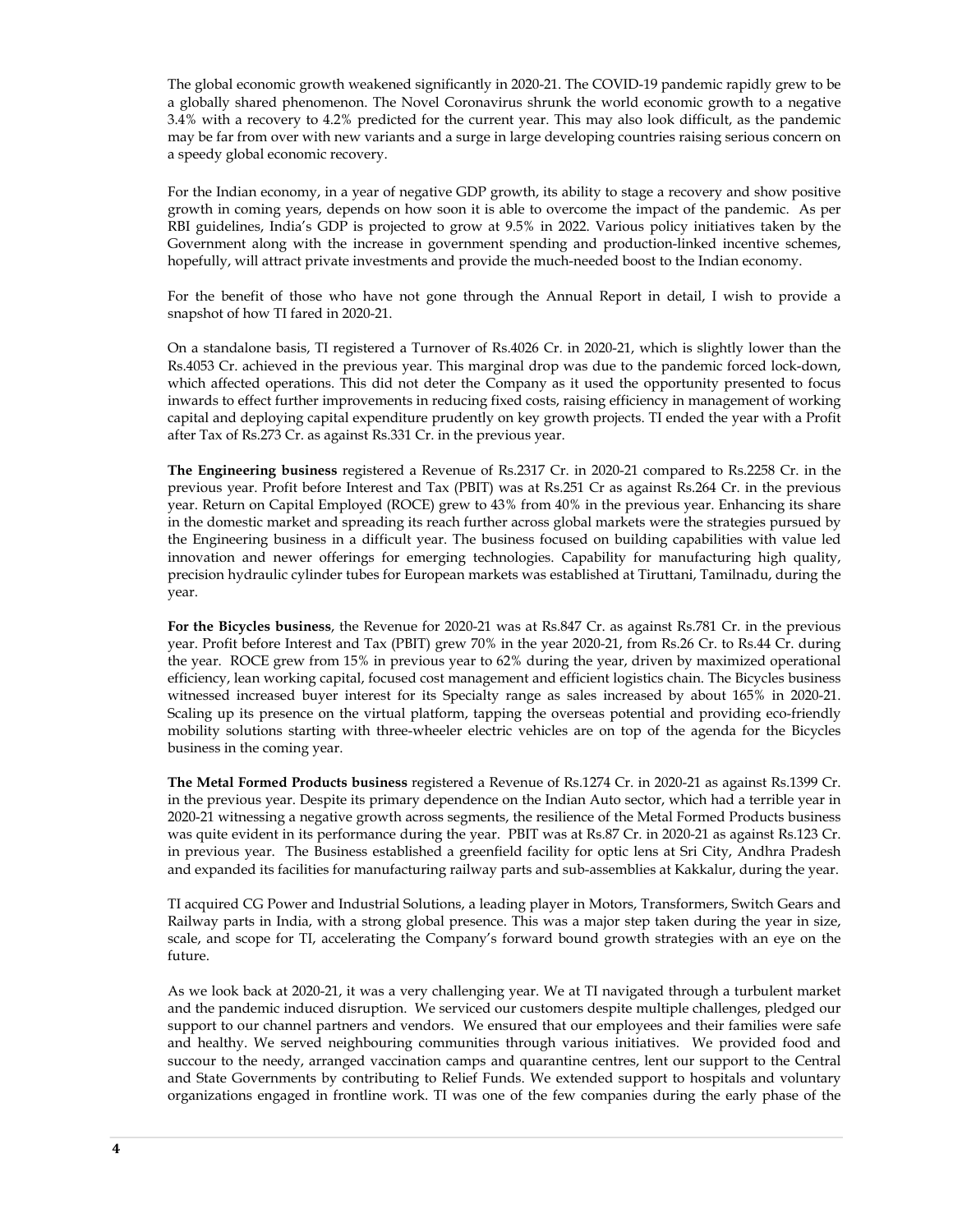The global economic growth weakened significantly in 2020-21. The COVID-19 pandemic rapidly grew to be a globally shared phenomenon. The Novel Coronavirus shrunk the world economic growth to a negative 3.4% with a recovery to 4.2% predicted for the current year. This may also look difficult, as the pandemic may be far from over with new variants and a surge in large developing countries raising serious concern on a speedy global economic recovery.

For the Indian economy, in a year of negative GDP growth, its ability to stage a recovery and show positive growth in coming years, depends on how soon it is able to overcome the impact of the pandemic. As per RBI guidelines, India's GDP is projected to grow at 9.5% in 2022. Various policy initiatives taken by the Government along with the increase in government spending and production-linked incentive schemes, hopefully, will attract private investments and provide the much-needed boost to the Indian economy.

For the benefit of those who have not gone through the Annual Report in detail, I wish to provide a snapshot of how TI fared in 2020-21.

On a standalone basis, TI registered a Turnover of Rs.4026 Cr. in 2020-21, which is slightly lower than the Rs.4053 Cr. achieved in the previous year. This marginal drop was due to the pandemic forced lock-down, which affected operations. This did not deter the Company as it used the opportunity presented to focus inwards to effect further improvements in reducing fixed costs, raising efficiency in management of working capital and deploying capital expenditure prudently on key growth projects. TI ended the year with a Profit after Tax of Rs.273 Cr. as against Rs.331 Cr. in the previous year.

**The Engineering business** registered a Revenue of Rs.2317 Cr. in 2020-21 compared to Rs.2258 Cr. in the previous year. Profit before Interest and Tax (PBIT) was at Rs.251 Cr as against Rs.264 Cr. in the previous year. Return on Capital Employed (ROCE) grew to 43% from 40% in the previous year. Enhancing its share in the domestic market and spreading its reach further across global markets were the strategies pursued by the Engineering business in a difficult year. The business focused on building capabilities with value led innovation and newer offerings for emerging technologies. Capability for manufacturing high quality, precision hydraulic cylinder tubes for European markets was established at Tiruttani, Tamilnadu, during the year.

**For the Bicycles business**, the Revenue for 2020-21 was at Rs.847 Cr. as against Rs.781 Cr. in the previous year. Profit before Interest and Tax (PBIT) grew 70% in the year 2020-21, from Rs.26 Cr. to Rs.44 Cr. during the year. ROCE grew from 15% in previous year to 62% during the year, driven by maximized operational efficiency, lean working capital, focused cost management and efficient logistics chain. The Bicycles business witnessed increased buyer interest for its Specialty range as sales increased by about 165% in 2020-21. Scaling up its presence on the virtual platform, tapping the overseas potential and providing eco-friendly mobility solutions starting with three-wheeler electric vehicles are on top of the agenda for the Bicycles business in the coming year.

**The Metal Formed Products business** registered a Revenue of Rs.1274 Cr. in 2020-21 as against Rs.1399 Cr. in the previous year. Despite its primary dependence on the Indian Auto sector, which had a terrible year in 2020-21 witnessing a negative growth across segments, the resilience of the Metal Formed Products business was quite evident in its performance during the year. PBIT was at Rs.87 Cr. in 2020-21 as against Rs.123 Cr. in previous year. The Business established a greenfield facility for optic lens at Sri City, Andhra Pradesh and expanded its facilities for manufacturing railway parts and sub-assemblies at Kakkalur, during the year.

TI acquired CG Power and Industrial Solutions, a leading player in Motors, Transformers, Switch Gears and Railway parts in India, with a strong global presence. This was a major step taken during the year in size, scale, and scope for TI, accelerating the Company's forward bound growth strategies with an eye on the future.

As we look back at 2020-21, it was a very challenging year. We at TI navigated through a turbulent market and the pandemic induced disruption. We serviced our customers despite multiple challenges, pledged our support to our channel partners and vendors. We ensured that our employees and their families were safe and healthy. We served neighbouring communities through various initiatives. We provided food and succour to the needy, arranged vaccination camps and quarantine centres, lent our support to the Central and State Governments by contributing to Relief Funds. We extended support to hospitals and voluntary organizations engaged in frontline work. TI was one of the few companies during the early phase of the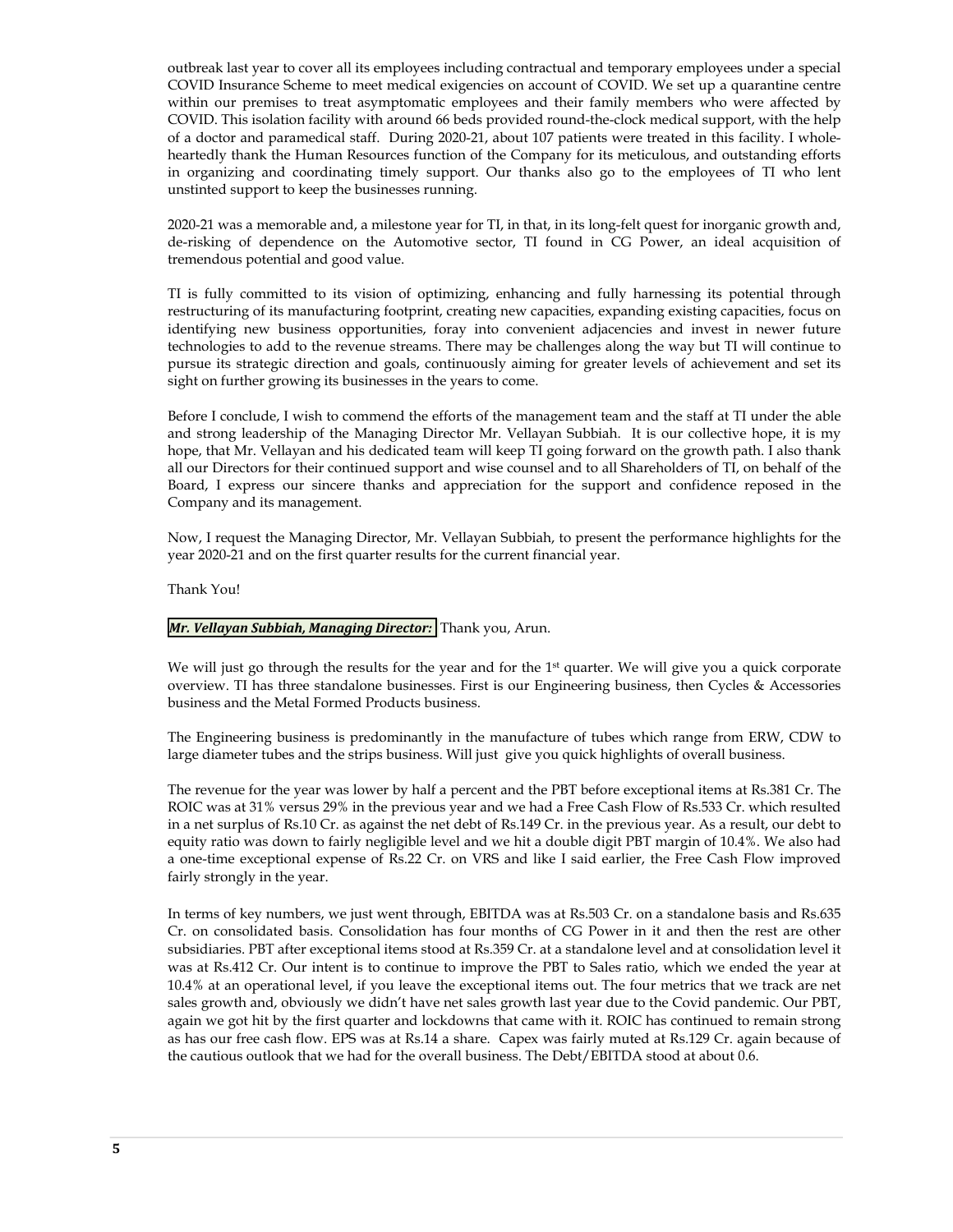outbreak last year to cover all its employees including contractual and temporary employees under a special COVID Insurance Scheme to meet medical exigencies on account of COVID. We set up a quarantine centre within our premises to treat asymptomatic employees and their family members who were affected by COVID. This isolation facility with around 66 beds provided round-the-clock medical support, with the help of a doctor and paramedical staff. During 2020-21, about 107 patients were treated in this facility. I wholeheartedly thank the Human Resources function of the Company for its meticulous, and outstanding efforts in organizing and coordinating timely support. Our thanks also go to the employees of TI who lent unstinted support to keep the businesses running.

2020-21 was a memorable and, a milestone year for TI, in that, in its long-felt quest for inorganic growth and, de-risking of dependence on the Automotive sector, TI found in CG Power, an ideal acquisition of tremendous potential and good value.

TI is fully committed to its vision of optimizing, enhancing and fully harnessing its potential through restructuring of its manufacturing footprint, creating new capacities, expanding existing capacities, focus on identifying new business opportunities, foray into convenient adjacencies and invest in newer future technologies to add to the revenue streams. There may be challenges along the way but TI will continue to pursue its strategic direction and goals, continuously aiming for greater levels of achievement and set its sight on further growing its businesses in the years to come.

Before I conclude, I wish to commend the efforts of the management team and the staff at TI under the able and strong leadership of the Managing Director Mr. Vellayan Subbiah. It is our collective hope, it is my hope, that Mr. Vellayan and his dedicated team will keep TI going forward on the growth path. I also thank all our Directors for their continued support and wise counsel and to all Shareholders of TI, on behalf of the Board, I express our sincere thanks and appreciation for the support and confidence reposed in the Company and its management.

Now, I request the Managing Director, Mr. Vellayan Subbiah, to present the performance highlights for the year 2020-21 and on the first quarter results for the current financial year.

Thank You!

#### *Mr. Vellayan Subbiah, Managing Director:* Thank you, Arun.

We will just go through the results for the year and for the  $1<sup>st</sup>$  quarter. We will give you a quick corporate overview. TI has three standalone businesses. First is our Engineering business, then Cycles & Accessories business and the Metal Formed Products business.

The Engineering business is predominantly in the manufacture of tubes which range from ERW, CDW to large diameter tubes and the strips business. Will just give you quick highlights of overall business.

The revenue for the year was lower by half a percent and the PBT before exceptional items at Rs.381 Cr. The ROIC was at 31% versus 29% in the previous year and we had a Free Cash Flow of Rs.533 Cr. which resulted in a net surplus of Rs.10 Cr. as against the net debt of Rs.149 Cr. in the previous year. As a result, our debt to equity ratio was down to fairly negligible level and we hit a double digit PBT margin of 10.4%. We also had a one-time exceptional expense of Rs.22 Cr. on VRS and like I said earlier, the Free Cash Flow improved fairly strongly in the year.

In terms of key numbers, we just went through, EBITDA was at Rs.503 Cr. on a standalone basis and Rs.635 Cr. on consolidated basis. Consolidation has four months of CG Power in it and then the rest are other subsidiaries. PBT after exceptional items stood at Rs.359 Cr. at a standalone level and at consolidation level it was at Rs.412 Cr. Our intent is to continue to improve the PBT to Sales ratio, which we ended the year at 10.4% at an operational level, if you leave the exceptional items out. The four metrics that we track are net sales growth and, obviously we didn't have net sales growth last year due to the Covid pandemic. Our PBT, again we got hit by the first quarter and lockdowns that came with it. ROIC has continued to remain strong as has our free cash flow. EPS was at Rs.14 a share. Capex was fairly muted at Rs.129 Cr. again because of the cautious outlook that we had for the overall business. The Debt/EBITDA stood at about 0.6.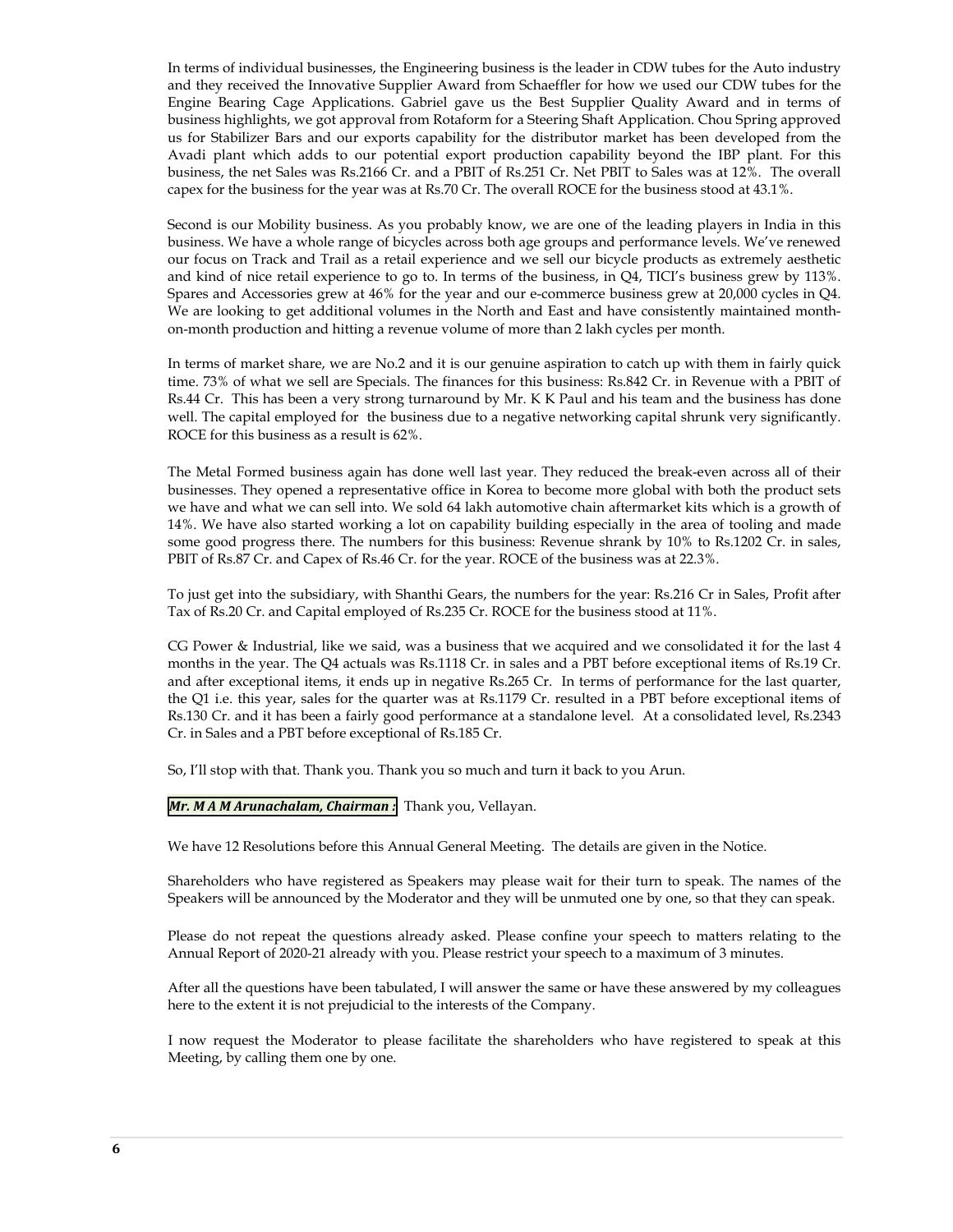In terms of individual businesses, the Engineering business is the leader in CDW tubes for the Auto industry and they received the Innovative Supplier Award from Schaeffler for how we used our CDW tubes for the Engine Bearing Cage Applications. Gabriel gave us the Best Supplier Quality Award and in terms of business highlights, we got approval from Rotaform for a Steering Shaft Application. Chou Spring approved us for Stabilizer Bars and our exports capability for the distributor market has been developed from the Avadi plant which adds to our potential export production capability beyond the IBP plant. For this business, the net Sales was Rs.2166 Cr. and a PBIT of Rs.251 Cr. Net PBIT to Sales was at 12%. The overall capex for the business for the year was at Rs.70 Cr. The overall ROCE for the business stood at 43.1%.

Second is our Mobility business. As you probably know, we are one of the leading players in India in this business. We have a whole range of bicycles across both age groups and performance levels. We've renewed our focus on Track and Trail as a retail experience and we sell our bicycle products as extremely aesthetic and kind of nice retail experience to go to. In terms of the business, in Q4, TICI's business grew by 113%. Spares and Accessories grew at 46% for the year and our e-commerce business grew at 20,000 cycles in Q4. We are looking to get additional volumes in the North and East and have consistently maintained monthon-month production and hitting a revenue volume of more than 2 lakh cycles per month.

In terms of market share, we are No.2 and it is our genuine aspiration to catch up with them in fairly quick time. 73% of what we sell are Specials. The finances for this business: Rs.842 Cr. in Revenue with a PBIT of Rs.44 Cr. This has been a very strong turnaround by Mr. K K Paul and his team and the business has done well. The capital employed for the business due to a negative networking capital shrunk very significantly. ROCE for this business as a result is 62%.

The Metal Formed business again has done well last year. They reduced the break-even across all of their businesses. They opened a representative office in Korea to become more global with both the product sets we have and what we can sell into. We sold 64 lakh automotive chain aftermarket kits which is a growth of 14%. We have also started working a lot on capability building especially in the area of tooling and made some good progress there. The numbers for this business: Revenue shrank by 10% to Rs.1202 Cr. in sales, PBIT of Rs.87 Cr. and Capex of Rs.46 Cr. for the year. ROCE of the business was at 22.3%.

To just get into the subsidiary, with Shanthi Gears, the numbers for the year: Rs.216 Cr in Sales, Profit after Tax of Rs.20 Cr. and Capital employed of Rs.235 Cr. ROCE for the business stood at 11%.

CG Power & Industrial, like we said, was a business that we acquired and we consolidated it for the last 4 months in the year. The Q4 actuals was Rs.1118 Cr. in sales and a PBT before exceptional items of Rs.19 Cr. and after exceptional items, it ends up in negative Rs.265 Cr. In terms of performance for the last quarter, the Q1 i.e. this year, sales for the quarter was at Rs.1179 Cr. resulted in a PBT before exceptional items of Rs.130 Cr. and it has been a fairly good performance at a standalone level. At a consolidated level, Rs.2343 Cr. in Sales and a PBT before exceptional of Rs.185 Cr.

So, I'll stop with that. Thank you. Thank you so much and turn it back to you Arun.

#### *Mr. M A M Arunachalam, Chairman :* Thank you, Vellayan.

We have 12 Resolutions before this Annual General Meeting. The details are given in the Notice.

Shareholders who have registered as Speakers may please wait for their turn to speak. The names of the Speakers will be announced by the Moderator and they will be unmuted one by one, so that they can speak.

Please do not repeat the questions already asked. Please confine your speech to matters relating to the Annual Report of 2020-21 already with you. Please restrict your speech to a maximum of 3 minutes.

After all the questions have been tabulated, I will answer the same or have these answered by my colleagues here to the extent it is not prejudicial to the interests of the Company.

I now request the Moderator to please facilitate the shareholders who have registered to speak at this Meeting, by calling them one by one.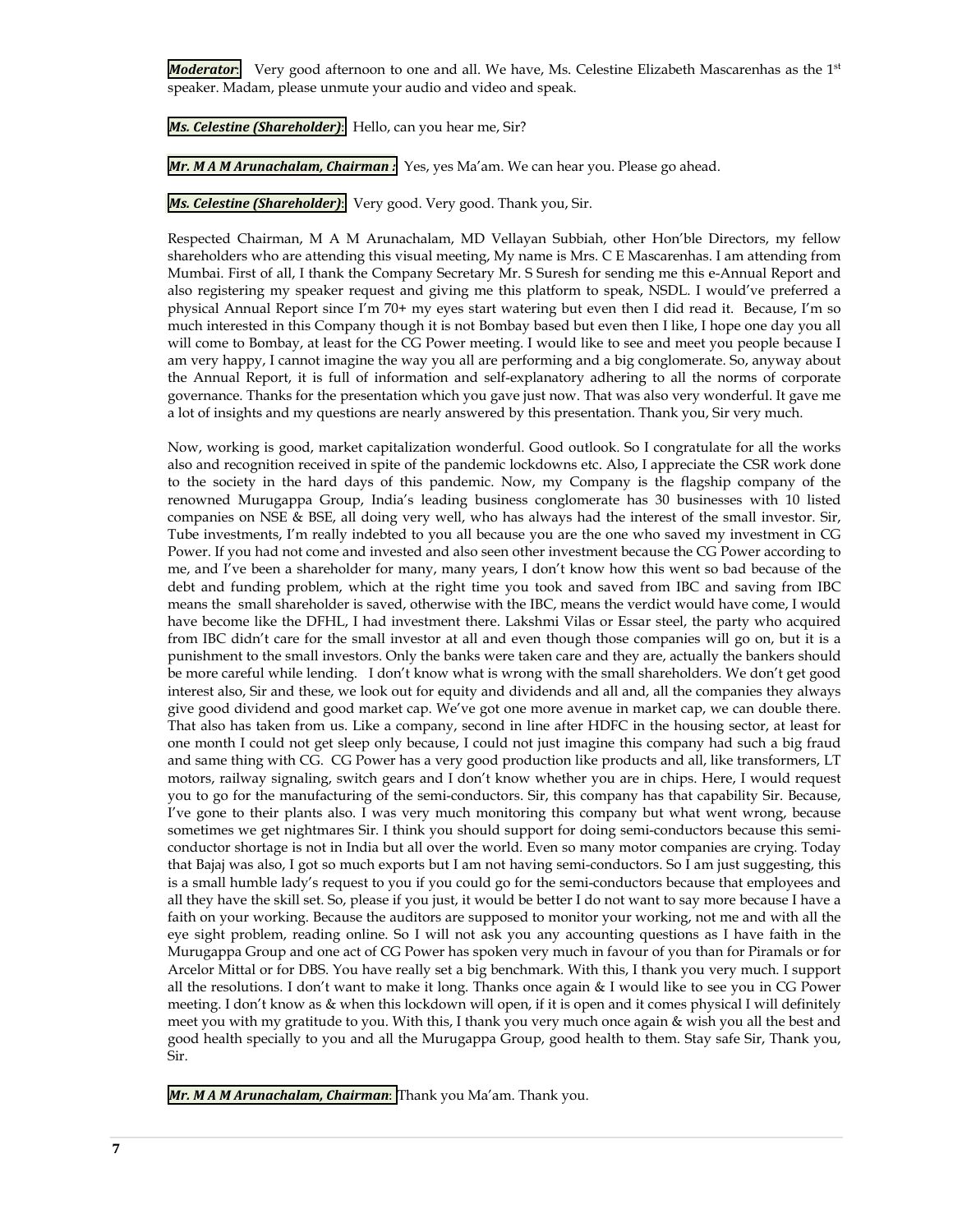*Moderator*: Very good afternoon to one and all. We have, Ms. Celestine Elizabeth Mascarenhas as the 1<sup>st</sup> speaker. Madam, please unmute your audio and video and speak.

**Ms. Celestine (Shareholder):** Hello, can you hear me, Sir?

*Mr. M A M Arunachalam, Chairman :* Yes, yes Ma'am. We can hear you. Please go ahead.

**Ms. Celestine (Shareholder):** Very good. Very good. Thank you, Sir.

Respected Chairman, M A M Arunachalam, MD Vellayan Subbiah, other Hon'ble Directors, my fellow shareholders who are attending this visual meeting, My name is Mrs. C E Mascarenhas. I am attending from Mumbai. First of all, I thank the Company Secretary Mr. S Suresh for sending me this e-Annual Report and also registering my speaker request and giving me this platform to speak, NSDL. I would've preferred a physical Annual Report since I'm 70+ my eyes start watering but even then I did read it. Because, I'm so much interested in this Company though it is not Bombay based but even then I like, I hope one day you all will come to Bombay, at least for the CG Power meeting. I would like to see and meet you people because I am very happy, I cannot imagine the way you all are performing and a big conglomerate. So, anyway about the Annual Report, it is full of information and self-explanatory adhering to all the norms of corporate governance. Thanks for the presentation which you gave just now. That was also very wonderful. It gave me a lot of insights and my questions are nearly answered by this presentation. Thank you, Sir very much.

Now, working is good, market capitalization wonderful. Good outlook. So I congratulate for all the works also and recognition received in spite of the pandemic lockdowns etc. Also, I appreciate the CSR work done to the society in the hard days of this pandemic. Now, my Company is the flagship company of the renowned Murugappa Group, India's leading business conglomerate has 30 businesses with 10 listed companies on NSE & BSE, all doing very well, who has always had the interest of the small investor. Sir, Tube investments, I'm really indebted to you all because you are the one who saved my investment in CG Power. If you had not come and invested and also seen other investment because the CG Power according to me, and I've been a shareholder for many, many years, I don't know how this went so bad because of the debt and funding problem, which at the right time you took and saved from IBC and saving from IBC means the small shareholder is saved, otherwise with the IBC, means the verdict would have come, I would have become like the DFHL, I had investment there. Lakshmi Vilas or Essar steel, the party who acquired from IBC didn't care for the small investor at all and even though those companies will go on, but it is a punishment to the small investors. Only the banks were taken care and they are, actually the bankers should be more careful while lending. I don't know what is wrong with the small shareholders. We don't get good interest also, Sir and these, we look out for equity and dividends and all and, all the companies they always give good dividend and good market cap. We've got one more avenue in market cap, we can double there. That also has taken from us. Like a company, second in line after HDFC in the housing sector, at least for one month I could not get sleep only because, I could not just imagine this company had such a big fraud and same thing with CG. CG Power has a very good production like products and all, like transformers, LT motors, railway signaling, switch gears and I don't know whether you are in chips. Here, I would request you to go for the manufacturing of the semi-conductors. Sir, this company has that capability Sir. Because, I've gone to their plants also. I was very much monitoring this company but what went wrong, because sometimes we get nightmares Sir. I think you should support for doing semi-conductors because this semiconductor shortage is not in India but all over the world. Even so many motor companies are crying. Today that Bajaj was also, I got so much exports but I am not having semi-conductors. So I am just suggesting, this is a small humble lady's request to you if you could go for the semi-conductors because that employees and all they have the skill set. So, please if you just, it would be better I do not want to say more because I have a faith on your working. Because the auditors are supposed to monitor your working, not me and with all the eye sight problem, reading online. So I will not ask you any accounting questions as I have faith in the Murugappa Group and one act of CG Power has spoken very much in favour of you than for Piramals or for Arcelor Mittal or for DBS. You have really set a big benchmark. With this, I thank you very much. I support all the resolutions. I don't want to make it long. Thanks once again & I would like to see you in CG Power meeting. I don't know as & when this lockdown will open, if it is open and it comes physical I will definitely meet you with my gratitude to you. With this, I thank you very much once again & wish you all the best and good health specially to you and all the Murugappa Group, good health to them. Stay safe Sir, Thank you, Sir.

*Mr. M A M Arunachalam, Chairman*: Thank you Ma'am. Thank you.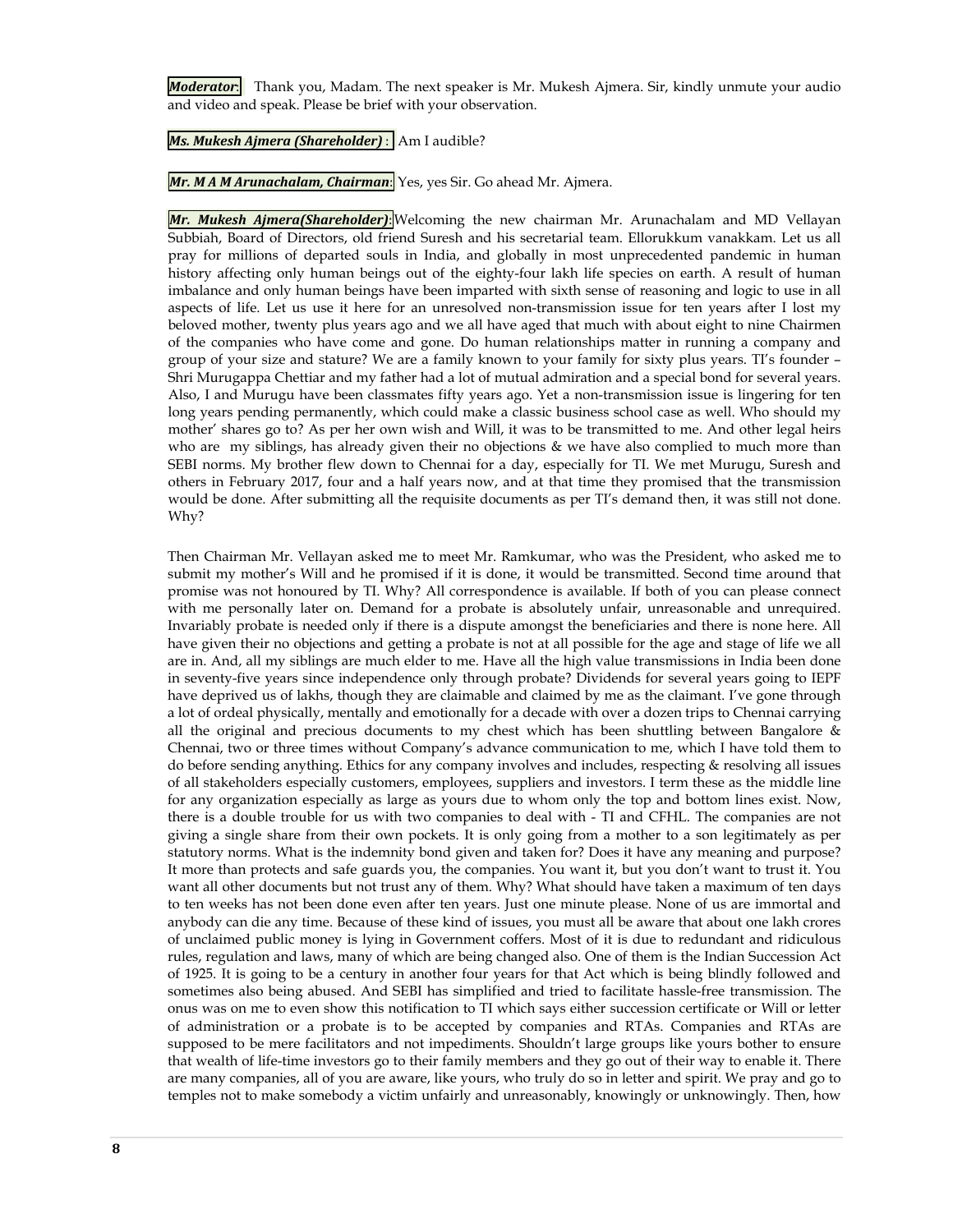*Moderator*: Thank you, Madam. The next speaker is Mr. Mukesh Ajmera. Sir, kindly unmute your audio and video and speak. Please be brief with your observation.

*Ms. Mukesh Ajmera (Shareholder)* : Am I audible?

*Mr. M A M Arunachalam, Chairman*: Yes, yes Sir. Go ahead Mr. Ajmera.

*Mr. Mukesh Ajmera(Shareholder)*:Welcoming the new chairman Mr. Arunachalam and MD Vellayan Subbiah, Board of Directors, old friend Suresh and his secretarial team. Ellorukkum vanakkam. Let us all pray for millions of departed souls in India, and globally in most unprecedented pandemic in human history affecting only human beings out of the eighty-four lakh life species on earth. A result of human imbalance and only human beings have been imparted with sixth sense of reasoning and logic to use in all aspects of life. Let us use it here for an unresolved non-transmission issue for ten years after I lost my beloved mother, twenty plus years ago and we all have aged that much with about eight to nine Chairmen of the companies who have come and gone. Do human relationships matter in running a company and group of your size and stature? We are a family known to your family for sixty plus years. TI's founder – Shri Murugappa Chettiar and my father had a lot of mutual admiration and a special bond for several years. Also, I and Murugu have been classmates fifty years ago. Yet a non-transmission issue is lingering for ten long years pending permanently, which could make a classic business school case as well. Who should my mother' shares go to? As per her own wish and Will, it was to be transmitted to me. And other legal heirs who are my siblings, has already given their no objections & we have also complied to much more than SEBI norms. My brother flew down to Chennai for a day, especially for TI. We met Murugu, Suresh and others in February 2017, four and a half years now, and at that time they promised that the transmission would be done. After submitting all the requisite documents as per TI's demand then, it was still not done. Why?

Then Chairman Mr. Vellayan asked me to meet Mr. Ramkumar, who was the President, who asked me to submit my mother's Will and he promised if it is done, it would be transmitted. Second time around that promise was not honoured by TI. Why? All correspondence is available. If both of you can please connect with me personally later on. Demand for a probate is absolutely unfair, unreasonable and unrequired. Invariably probate is needed only if there is a dispute amongst the beneficiaries and there is none here. All have given their no objections and getting a probate is not at all possible for the age and stage of life we all are in. And, all my siblings are much elder to me. Have all the high value transmissions in India been done in seventy-five years since independence only through probate? Dividends for several years going to IEPF have deprived us of lakhs, though they are claimable and claimed by me as the claimant. I've gone through a lot of ordeal physically, mentally and emotionally for a decade with over a dozen trips to Chennai carrying all the original and precious documents to my chest which has been shuttling between Bangalore & Chennai, two or three times without Company's advance communication to me, which I have told them to do before sending anything. Ethics for any company involves and includes, respecting & resolving all issues of all stakeholders especially customers, employees, suppliers and investors. I term these as the middle line for any organization especially as large as yours due to whom only the top and bottom lines exist. Now, there is a double trouble for us with two companies to deal with - TI and CFHL. The companies are not giving a single share from their own pockets. It is only going from a mother to a son legitimately as per statutory norms. What is the indemnity bond given and taken for? Does it have any meaning and purpose? It more than protects and safe guards you, the companies. You want it, but you don't want to trust it. You want all other documents but not trust any of them. Why? What should have taken a maximum of ten days to ten weeks has not been done even after ten years. Just one minute please. None of us are immortal and anybody can die any time. Because of these kind of issues, you must all be aware that about one lakh crores of unclaimed public money is lying in Government coffers. Most of it is due to redundant and ridiculous rules, regulation and laws, many of which are being changed also. One of them is the Indian Succession Act of 1925. It is going to be a century in another four years for that Act which is being blindly followed and sometimes also being abused. And SEBI has simplified and tried to facilitate hassle-free transmission. The onus was on me to even show this notification to TI which says either succession certificate or Will or letter of administration or a probate is to be accepted by companies and RTAs. Companies and RTAs are supposed to be mere facilitators and not impediments. Shouldn't large groups like yours bother to ensure that wealth of life-time investors go to their family members and they go out of their way to enable it. There are many companies, all of you are aware, like yours, who truly do so in letter and spirit. We pray and go to temples not to make somebody a victim unfairly and unreasonably, knowingly or unknowingly. Then, how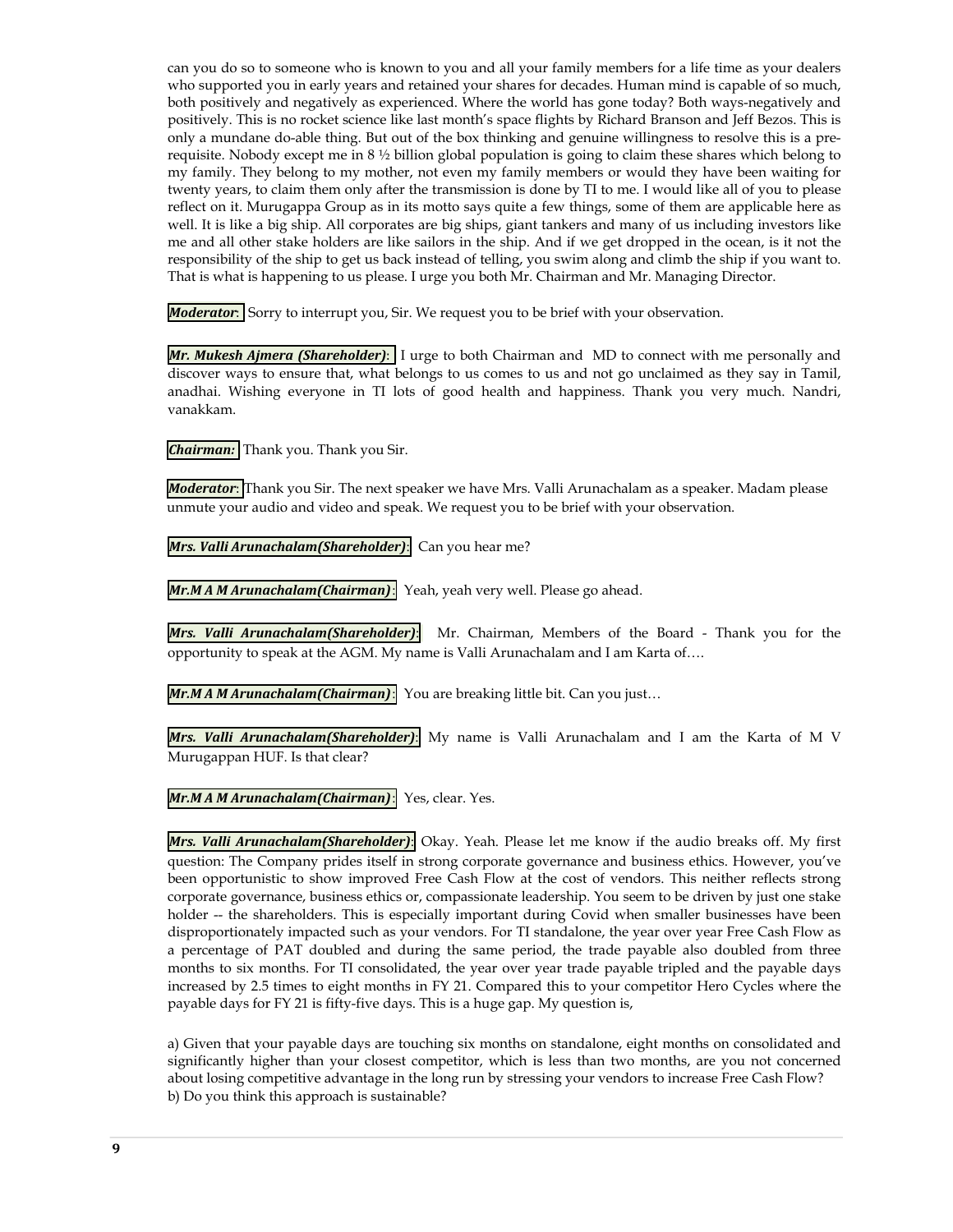can you do so to someone who is known to you and all your family members for a life time as your dealers who supported you in early years and retained your shares for decades. Human mind is capable of so much, both positively and negatively as experienced. Where the world has gone today? Both ways-negatively and positively. This is no rocket science like last month's space flights by Richard Branson and Jeff Bezos. This is only a mundane do-able thing. But out of the box thinking and genuine willingness to resolve this is a prerequisite. Nobody except me in 8 ½ billion global population is going to claim these shares which belong to my family. They belong to my mother, not even my family members or would they have been waiting for twenty years, to claim them only after the transmission is done by TI to me. I would like all of you to please reflect on it. Murugappa Group as in its motto says quite a few things, some of them are applicable here as well. It is like a big ship. All corporates are big ships, giant tankers and many of us including investors like me and all other stake holders are like sailors in the ship. And if we get dropped in the ocean, is it not the responsibility of the ship to get us back instead of telling, you swim along and climb the ship if you want to. That is what is happening to us please. I urge you both Mr. Chairman and Mr. Managing Director.

*Moderator*: Sorry to interrupt you, Sir. We request you to be brief with your observation.

*Mr. Mukesh Ajmera (Shareholder)*: I urge to both Chairman and MD to connect with me personally and discover ways to ensure that, what belongs to us comes to us and not go unclaimed as they say in Tamil, anadhai. Wishing everyone in TI lots of good health and happiness. Thank you very much. Nandri, vanakkam.

*Chairman:* Thank you. Thank you Sir.

*Moderator*: Thank you Sir. The next speaker we have Mrs. Valli Arunachalam as a speaker. Madam please unmute your audio and video and speak. We request you to be brief with your observation.

*Mrs. Valli Arunachalam(Shareholder)*: Can you hear me?

*Mr.M A M Arunachalam(Chairman)*: Yeah, yeah very well. Please go ahead.

*Mrs. Valli Arunachalam(Shareholder)*: Mr. Chairman, Members of the Board - Thank you for the opportunity to speak at the AGM. My name is Valli Arunachalam and I am Karta of….

**Mr.M A M Arunachalam (Chairman)**: You are breaking little bit. Can you just...

*Mrs. Valli Arunachalam(Shareholder)*: My name is Valli Arunachalam and I am the Karta of M V Murugappan HUF. Is that clear?

*Mr.M A M Arunachalam(Chairman)*: Yes, clear. Yes.

*Mrs. Valli Arunachalam(Shareholder)*: Okay. Yeah. Please let me know if the audio breaks off. My first question: The Company prides itself in strong corporate governance and business ethics. However, you've been opportunistic to show improved Free Cash Flow at the cost of vendors. This neither reflects strong corporate governance, business ethics or, compassionate leadership. You seem to be driven by just one stake holder -- the shareholders. This is especially important during Covid when smaller businesses have been disproportionately impacted such as your vendors. For TI standalone, the year over year Free Cash Flow as a percentage of PAT doubled and during the same period, the trade payable also doubled from three months to six months. For TI consolidated, the year over year trade payable tripled and the payable days increased by 2.5 times to eight months in FY 21. Compared this to your competitor Hero Cycles where the payable days for FY 21 is fifty-five days. This is a huge gap. My question is,

a) Given that your payable days are touching six months on standalone, eight months on consolidated and significantly higher than your closest competitor, which is less than two months, are you not concerned about losing competitive advantage in the long run by stressing your vendors to increase Free Cash Flow? b) Do you think this approach is sustainable?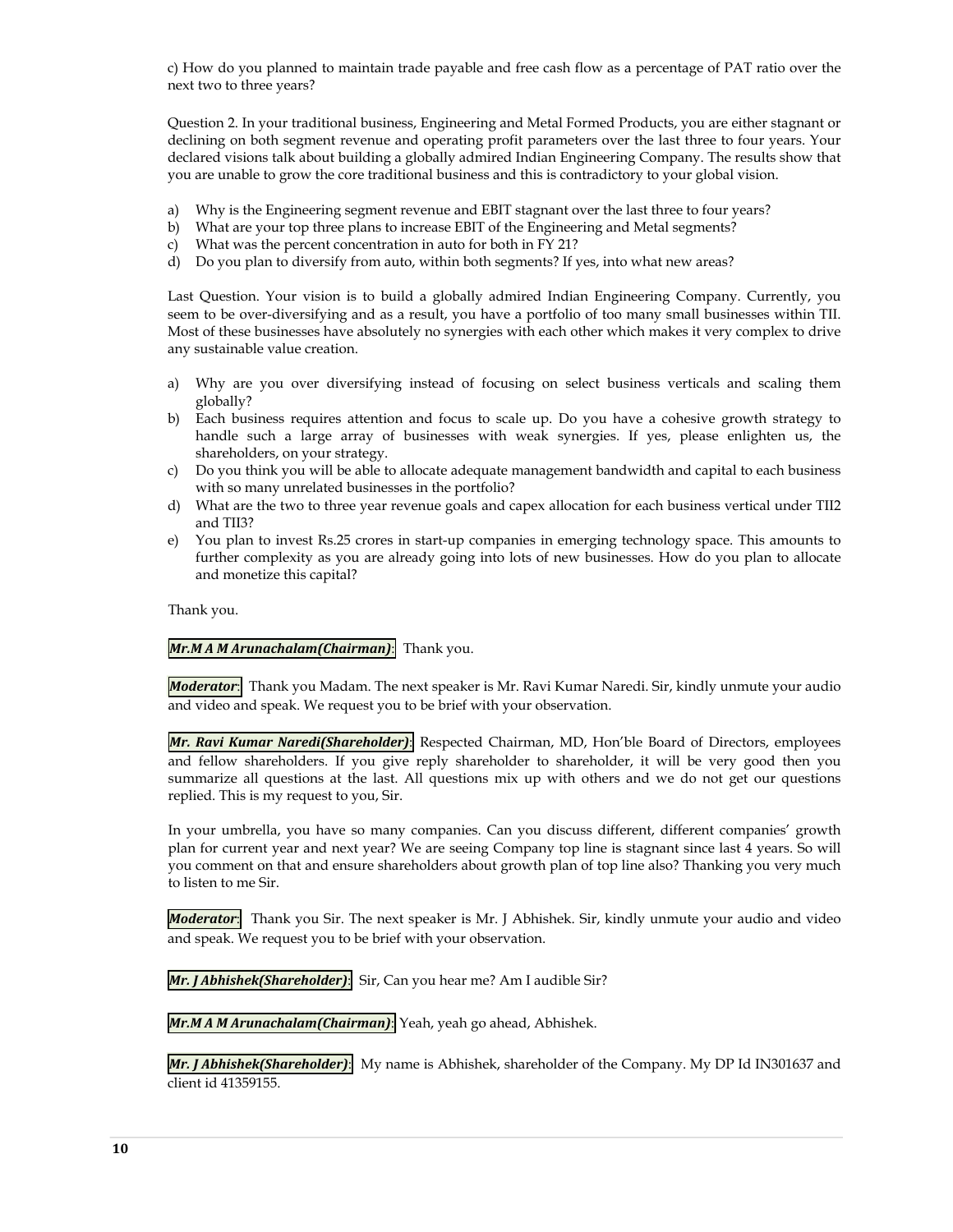c) How do you planned to maintain trade payable and free cash flow as a percentage of PAT ratio over the next two to three years?

Question 2. In your traditional business, Engineering and Metal Formed Products, you are either stagnant or declining on both segment revenue and operating profit parameters over the last three to four years. Your declared visions talk about building a globally admired Indian Engineering Company. The results show that you are unable to grow the core traditional business and this is contradictory to your global vision.

- a) Why is the Engineering segment revenue and EBIT stagnant over the last three to four years?
- b) What are your top three plans to increase EBIT of the Engineering and Metal segments?
- c) What was the percent concentration in auto for both in FY 21?
- d) Do you plan to diversify from auto, within both segments? If yes, into what new areas?

Last Question. Your vision is to build a globally admired Indian Engineering Company. Currently, you seem to be over-diversifying and as a result, you have a portfolio of too many small businesses within TII. Most of these businesses have absolutely no synergies with each other which makes it very complex to drive any sustainable value creation.

- a) Why are you over diversifying instead of focusing on select business verticals and scaling them globally?
- b) Each business requires attention and focus to scale up. Do you have a cohesive growth strategy to handle such a large array of businesses with weak synergies. If yes, please enlighten us, the shareholders, on your strategy.
- c) Do you think you will be able to allocate adequate management bandwidth and capital to each business with so many unrelated businesses in the portfolio?
- d) What are the two to three year revenue goals and capex allocation for each business vertical under TII2 and TII3?
- e) You plan to invest Rs.25 crores in start-up companies in emerging technology space. This amounts to further complexity as you are already going into lots of new businesses. How do you plan to allocate and monetize this capital?

Thank you.

## *Mr.M A M Arunachalam(Chairman)***:** Thank you.

*Moderator*: Thank you Madam. The next speaker is Mr. Ravi Kumar Naredi. Sir, kindly unmute your audio and video and speak. We request you to be brief with your observation.

*Mr. Ravi Kumar Naredi(Shareholder)*: Respected Chairman, MD, Hon'ble Board of Directors, employees and fellow shareholders. If you give reply shareholder to shareholder, it will be very good then you summarize all questions at the last. All questions mix up with others and we do not get our questions replied. This is my request to you, Sir.

In your umbrella, you have so many companies. Can you discuss different, different companies' growth plan for current year and next year? We are seeing Company top line is stagnant since last 4 years. So will you comment on that and ensure shareholders about growth plan of top line also? Thanking you very much to listen to me Sir.

*Moderator*: Thank you Sir. The next speaker is Mr. J Abhishek. Sir, kindly unmute your audio and video and speak. We request you to be brief with your observation.

*Mr. J Abhishek(Shareholder)*: Sir, Can you hear me? Am I audible Sir?

*Mr.M A M Arunachalam(Chairman)*: Yeah, yeah go ahead, Abhishek.

*Mr. J Abhishek(Shareholder)*: My name is Abhishek, shareholder of the Company. My DP Id IN301637 and client id 41359155.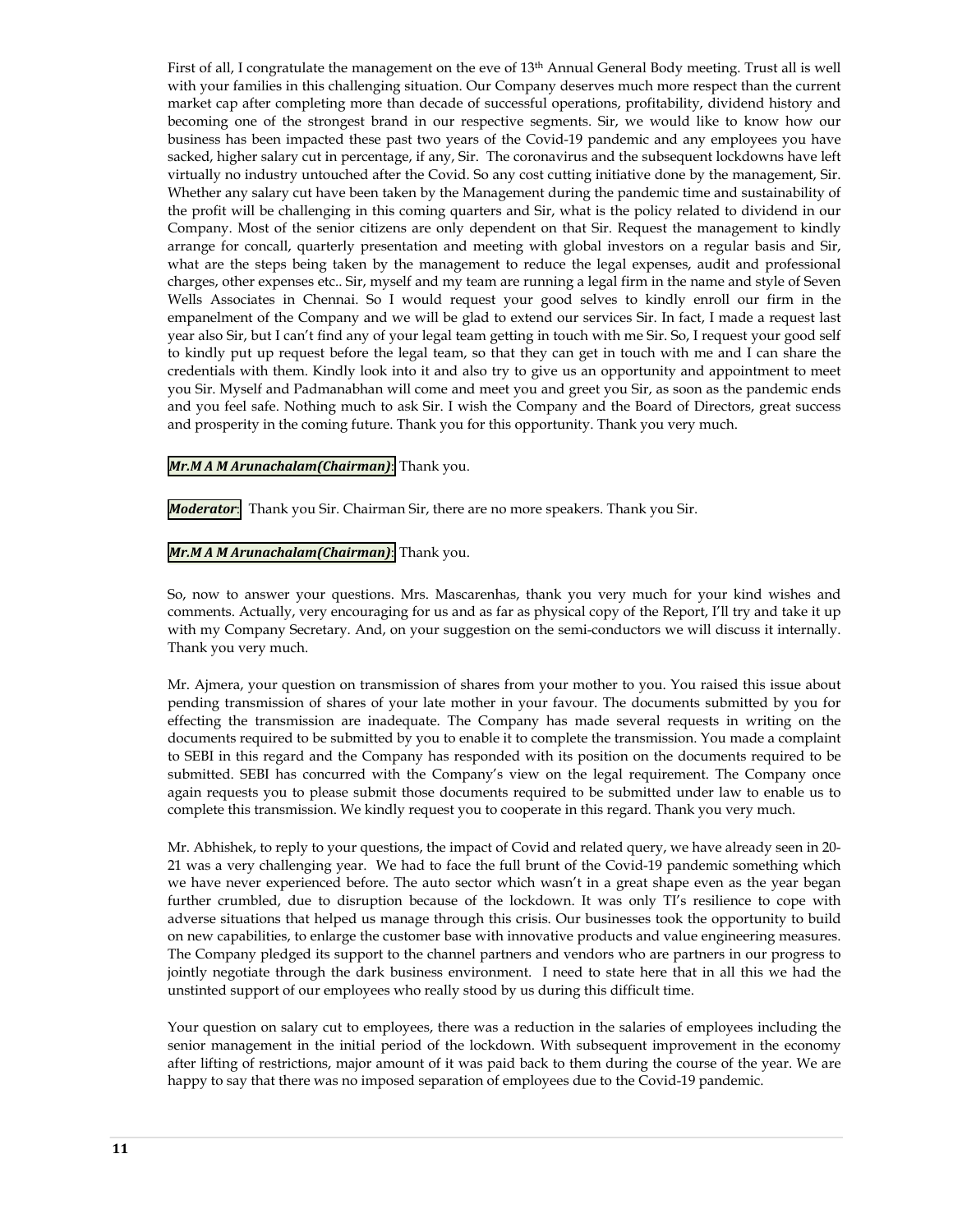First of all, I congratulate the management on the eve of 13<sup>th</sup> Annual General Body meeting. Trust all is well with your families in this challenging situation. Our Company deserves much more respect than the current market cap after completing more than decade of successful operations, profitability, dividend history and becoming one of the strongest brand in our respective segments. Sir, we would like to know how our business has been impacted these past two years of the Covid-19 pandemic and any employees you have sacked, higher salary cut in percentage, if any, Sir. The coronavirus and the subsequent lockdowns have left virtually no industry untouched after the Covid. So any cost cutting initiative done by the management, Sir. Whether any salary cut have been taken by the Management during the pandemic time and sustainability of the profit will be challenging in this coming quarters and Sir, what is the policy related to dividend in our Company. Most of the senior citizens are only dependent on that Sir. Request the management to kindly arrange for concall, quarterly presentation and meeting with global investors on a regular basis and Sir, what are the steps being taken by the management to reduce the legal expenses, audit and professional charges, other expenses etc.. Sir, myself and my team are running a legal firm in the name and style of Seven Wells Associates in Chennai. So I would request your good selves to kindly enroll our firm in the empanelment of the Company and we will be glad to extend our services Sir. In fact, I made a request last year also Sir, but I can't find any of your legal team getting in touch with me Sir. So, I request your good self to kindly put up request before the legal team, so that they can get in touch with me and I can share the credentials with them. Kindly look into it and also try to give us an opportunity and appointment to meet you Sir. Myself and Padmanabhan will come and meet you and greet you Sir, as soon as the pandemic ends and you feel safe. Nothing much to ask Sir. I wish the Company and the Board of Directors, great success and prosperity in the coming future. Thank you for this opportunity. Thank you very much.

### *Mr.M A M Arunachalam(Chairman)*: Thank you.

*Moderator*: Thank you Sir. Chairman Sir, there are no more speakers. Thank you Sir.

### *Mr.M A M Arunachalam(Chairman)*: Thank you.

So, now to answer your questions. Mrs. Mascarenhas, thank you very much for your kind wishes and comments. Actually, very encouraging for us and as far as physical copy of the Report, I'll try and take it up with my Company Secretary. And, on your suggestion on the semi-conductors we will discuss it internally. Thank you very much.

Mr. Ajmera, your question on transmission of shares from your mother to you. You raised this issue about pending transmission of shares of your late mother in your favour. The documents submitted by you for effecting the transmission are inadequate. The Company has made several requests in writing on the documents required to be submitted by you to enable it to complete the transmission. You made a complaint to SEBI in this regard and the Company has responded with its position on the documents required to be submitted. SEBI has concurred with the Company's view on the legal requirement. The Company once again requests you to please submit those documents required to be submitted under law to enable us to complete this transmission. We kindly request you to cooperate in this regard. Thank you very much.

Mr. Abhishek, to reply to your questions, the impact of Covid and related query, we have already seen in 20- 21 was a very challenging year. We had to face the full brunt of the Covid-19 pandemic something which we have never experienced before. The auto sector which wasn't in a great shape even as the year began further crumbled, due to disruption because of the lockdown. It was only TI's resilience to cope with adverse situations that helped us manage through this crisis. Our businesses took the opportunity to build on new capabilities, to enlarge the customer base with innovative products and value engineering measures. The Company pledged its support to the channel partners and vendors who are partners in our progress to jointly negotiate through the dark business environment. I need to state here that in all this we had the unstinted support of our employees who really stood by us during this difficult time.

Your question on salary cut to employees, there was a reduction in the salaries of employees including the senior management in the initial period of the lockdown. With subsequent improvement in the economy after lifting of restrictions, major amount of it was paid back to them during the course of the year. We are happy to say that there was no imposed separation of employees due to the Covid-19 pandemic.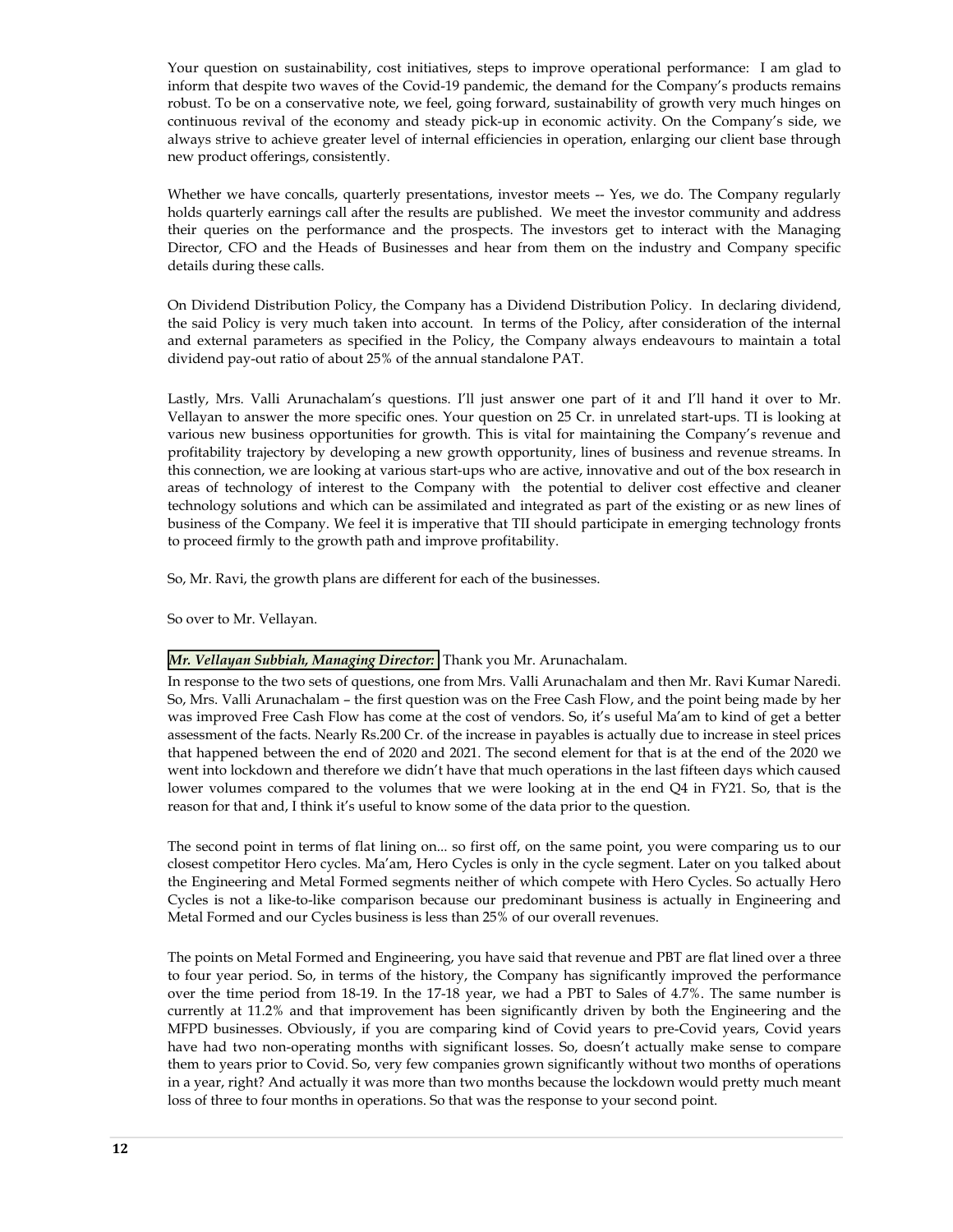Your question on sustainability, cost initiatives, steps to improve operational performance: I am glad to inform that despite two waves of the Covid-19 pandemic, the demand for the Company's products remains robust. To be on a conservative note, we feel, going forward, sustainability of growth very much hinges on continuous revival of the economy and steady pick-up in economic activity. On the Company's side, we always strive to achieve greater level of internal efficiencies in operation, enlarging our client base through new product offerings, consistently.

Whether we have concalls, quarterly presentations, investor meets -- Yes, we do. The Company regularly holds quarterly earnings call after the results are published. We meet the investor community and address their queries on the performance and the prospects. The investors get to interact with the Managing Director, CFO and the Heads of Businesses and hear from them on the industry and Company specific details during these calls.

On Dividend Distribution Policy, the Company has a Dividend Distribution Policy. In declaring dividend, the said Policy is very much taken into account. In terms of the Policy, after consideration of the internal and external parameters as specified in the Policy, the Company always endeavours to maintain a total dividend pay-out ratio of about 25% of the annual standalone PAT.

Lastly, Mrs. Valli Arunachalam's questions. I'll just answer one part of it and I'll hand it over to Mr. Vellayan to answer the more specific ones. Your question on 25 Cr. in unrelated start-ups. TI is looking at various new business opportunities for growth. This is vital for maintaining the Company's revenue and profitability trajectory by developing a new growth opportunity, lines of business and revenue streams. In this connection, we are looking at various start-ups who are active, innovative and out of the box research in areas of technology of interest to the Company with the potential to deliver cost effective and cleaner technology solutions and which can be assimilated and integrated as part of the existing or as new lines of business of the Company. We feel it is imperative that TII should participate in emerging technology fronts to proceed firmly to the growth path and improve profitability.

So, Mr. Ravi, the growth plans are different for each of the businesses.

So over to Mr. Vellayan.

## *Mr. Vellayan Subbiah, Managing Director:* Thank you Mr. Arunachalam.

In response to the two sets of questions, one from Mrs. Valli Arunachalam and then Mr. Ravi Kumar Naredi. So, Mrs. Valli Arunachalam – the first question was on the Free Cash Flow, and the point being made by her was improved Free Cash Flow has come at the cost of vendors. So, it's useful Ma'am to kind of get a better assessment of the facts. Nearly Rs.200 Cr. of the increase in payables is actually due to increase in steel prices that happened between the end of 2020 and 2021. The second element for that is at the end of the 2020 we went into lockdown and therefore we didn't have that much operations in the last fifteen days which caused lower volumes compared to the volumes that we were looking at in the end Q4 in FY21. So, that is the reason for that and, I think it's useful to know some of the data prior to the question.

The second point in terms of flat lining on... so first off, on the same point, you were comparing us to our closest competitor Hero cycles. Ma'am, Hero Cycles is only in the cycle segment. Later on you talked about the Engineering and Metal Formed segments neither of which compete with Hero Cycles. So actually Hero Cycles is not a like-to-like comparison because our predominant business is actually in Engineering and Metal Formed and our Cycles business is less than 25% of our overall revenues.

The points on Metal Formed and Engineering, you have said that revenue and PBT are flat lined over a three to four year period. So, in terms of the history, the Company has significantly improved the performance over the time period from 18-19. In the 17-18 year, we had a PBT to Sales of 4.7%. The same number is currently at 11.2% and that improvement has been significantly driven by both the Engineering and the MFPD businesses. Obviously, if you are comparing kind of Covid years to pre-Covid years, Covid years have had two non-operating months with significant losses. So, doesn't actually make sense to compare them to years prior to Covid. So, very few companies grown significantly without two months of operations in a year, right? And actually it was more than two months because the lockdown would pretty much meant loss of three to four months in operations. So that was the response to your second point.